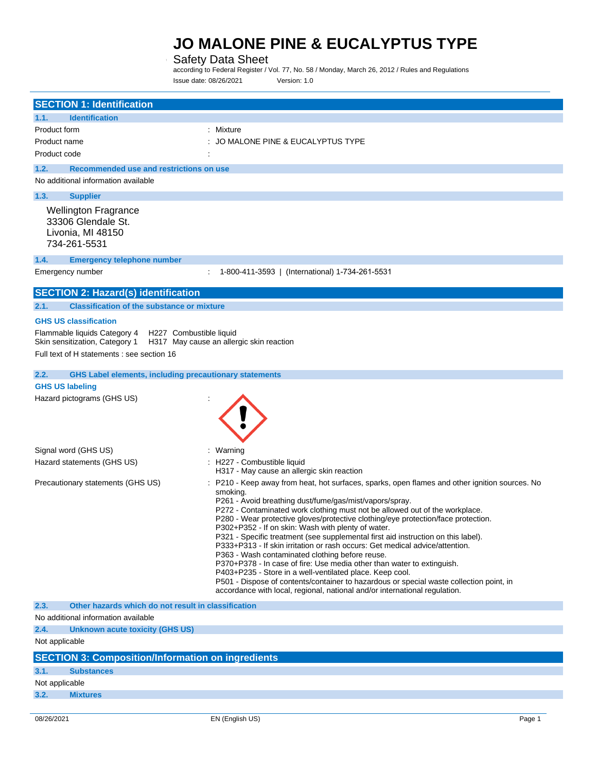### Safety Data Sheet

according to Federal Register / Vol. 77, No. 58 / Monday, March 26, 2012 / Rules and Regulations Issue date: 08/26/2021 Version: 1.0

|                                   | <b>SECTION 1: Identification</b>                                                          |                                                                                                                                                                                                                                                                                                                                                                                                                                                                                                                                                                                                                                                                                                                                                                                                                                                                                                                                      |
|-----------------------------------|-------------------------------------------------------------------------------------------|--------------------------------------------------------------------------------------------------------------------------------------------------------------------------------------------------------------------------------------------------------------------------------------------------------------------------------------------------------------------------------------------------------------------------------------------------------------------------------------------------------------------------------------------------------------------------------------------------------------------------------------------------------------------------------------------------------------------------------------------------------------------------------------------------------------------------------------------------------------------------------------------------------------------------------------|
| 1.1.                              | <b>Identification</b>                                                                     |                                                                                                                                                                                                                                                                                                                                                                                                                                                                                                                                                                                                                                                                                                                                                                                                                                                                                                                                      |
| Product form                      |                                                                                           | : Mixture                                                                                                                                                                                                                                                                                                                                                                                                                                                                                                                                                                                                                                                                                                                                                                                                                                                                                                                            |
| Product name                      |                                                                                           | JO MALONE PINE & EUCALYPTUS TYPE                                                                                                                                                                                                                                                                                                                                                                                                                                                                                                                                                                                                                                                                                                                                                                                                                                                                                                     |
| Product code                      |                                                                                           |                                                                                                                                                                                                                                                                                                                                                                                                                                                                                                                                                                                                                                                                                                                                                                                                                                                                                                                                      |
| 1.2.                              | Recommended use and restrictions on use                                                   |                                                                                                                                                                                                                                                                                                                                                                                                                                                                                                                                                                                                                                                                                                                                                                                                                                                                                                                                      |
|                                   | No additional information available                                                       |                                                                                                                                                                                                                                                                                                                                                                                                                                                                                                                                                                                                                                                                                                                                                                                                                                                                                                                                      |
| 1.3.                              | <b>Supplier</b>                                                                           |                                                                                                                                                                                                                                                                                                                                                                                                                                                                                                                                                                                                                                                                                                                                                                                                                                                                                                                                      |
| 734-261-5531                      | <b>Wellington Fragrance</b><br>33306 Glendale St.<br>Livonia, MI 48150                    |                                                                                                                                                                                                                                                                                                                                                                                                                                                                                                                                                                                                                                                                                                                                                                                                                                                                                                                                      |
| 1.4.                              | <b>Emergency telephone number</b>                                                         |                                                                                                                                                                                                                                                                                                                                                                                                                                                                                                                                                                                                                                                                                                                                                                                                                                                                                                                                      |
| Emergency number                  |                                                                                           | 1-800-411-3593   (International) 1-734-261-5531                                                                                                                                                                                                                                                                                                                                                                                                                                                                                                                                                                                                                                                                                                                                                                                                                                                                                      |
|                                   | <b>SECTION 2: Hazard(s) identification</b>                                                |                                                                                                                                                                                                                                                                                                                                                                                                                                                                                                                                                                                                                                                                                                                                                                                                                                                                                                                                      |
|                                   |                                                                                           |                                                                                                                                                                                                                                                                                                                                                                                                                                                                                                                                                                                                                                                                                                                                                                                                                                                                                                                                      |
| 2.1.                              | <b>Classification of the substance or mixture</b>                                         |                                                                                                                                                                                                                                                                                                                                                                                                                                                                                                                                                                                                                                                                                                                                                                                                                                                                                                                                      |
| <b>GHS US classification</b>      |                                                                                           |                                                                                                                                                                                                                                                                                                                                                                                                                                                                                                                                                                                                                                                                                                                                                                                                                                                                                                                                      |
|                                   | Flammable liquids Category 4<br>H227 Combustible liquid<br>Skin sensitization, Category 1 | H317 May cause an allergic skin reaction                                                                                                                                                                                                                                                                                                                                                                                                                                                                                                                                                                                                                                                                                                                                                                                                                                                                                             |
|                                   | Full text of H statements : see section 16                                                |                                                                                                                                                                                                                                                                                                                                                                                                                                                                                                                                                                                                                                                                                                                                                                                                                                                                                                                                      |
| 2.2.                              | <b>GHS Label elements, including precautionary statements</b>                             |                                                                                                                                                                                                                                                                                                                                                                                                                                                                                                                                                                                                                                                                                                                                                                                                                                                                                                                                      |
| <b>GHS US labeling</b>            |                                                                                           |                                                                                                                                                                                                                                                                                                                                                                                                                                                                                                                                                                                                                                                                                                                                                                                                                                                                                                                                      |
|                                   | Hazard pictograms (GHS US)                                                                |                                                                                                                                                                                                                                                                                                                                                                                                                                                                                                                                                                                                                                                                                                                                                                                                                                                                                                                                      |
| Signal word (GHS US)              |                                                                                           | : Warning                                                                                                                                                                                                                                                                                                                                                                                                                                                                                                                                                                                                                                                                                                                                                                                                                                                                                                                            |
|                                   | Hazard statements (GHS US)                                                                | : H227 - Combustible liquid<br>H317 - May cause an allergic skin reaction                                                                                                                                                                                                                                                                                                                                                                                                                                                                                                                                                                                                                                                                                                                                                                                                                                                            |
| Precautionary statements (GHS US) |                                                                                           | P210 - Keep away from heat, hot surfaces, sparks, open flames and other ignition sources. No<br>smoking.<br>P261 - Avoid breathing dust/fume/gas/mist/vapors/spray.<br>P272 - Contaminated work clothing must not be allowed out of the workplace.<br>P280 - Wear protective gloves/protective clothing/eye protection/face protection.<br>P302+P352 - If on skin: Wash with plenty of water.<br>P321 - Specific treatment (see supplemental first aid instruction on this label).<br>P333+P313 - If skin irritation or rash occurs: Get medical advice/attention.<br>P363 - Wash contaminated clothing before reuse.<br>P370+P378 - In case of fire: Use media other than water to extinguish.<br>P403+P235 - Store in a well-ventilated place. Keep cool.<br>P501 - Dispose of contents/container to hazardous or special waste collection point, in<br>accordance with local, regional, national and/or international regulation. |
| 2.3.                              | Other hazards which do not result in classification                                       |                                                                                                                                                                                                                                                                                                                                                                                                                                                                                                                                                                                                                                                                                                                                                                                                                                                                                                                                      |
|                                   | No additional information available                                                       |                                                                                                                                                                                                                                                                                                                                                                                                                                                                                                                                                                                                                                                                                                                                                                                                                                                                                                                                      |
| 2.4.                              | Unknown acute toxicity (GHS US)                                                           |                                                                                                                                                                                                                                                                                                                                                                                                                                                                                                                                                                                                                                                                                                                                                                                                                                                                                                                                      |
| Not applicable                    |                                                                                           |                                                                                                                                                                                                                                                                                                                                                                                                                                                                                                                                                                                                                                                                                                                                                                                                                                                                                                                                      |
|                                   | <b>SECTION 3: Composition/Information on ingredients</b>                                  |                                                                                                                                                                                                                                                                                                                                                                                                                                                                                                                                                                                                                                                                                                                                                                                                                                                                                                                                      |
| 3.1.                              | <b>Substances</b>                                                                         |                                                                                                                                                                                                                                                                                                                                                                                                                                                                                                                                                                                                                                                                                                                                                                                                                                                                                                                                      |
| Not applicable                    |                                                                                           |                                                                                                                                                                                                                                                                                                                                                                                                                                                                                                                                                                                                                                                                                                                                                                                                                                                                                                                                      |
| 3.2.                              | <b>Mixtures</b>                                                                           |                                                                                                                                                                                                                                                                                                                                                                                                                                                                                                                                                                                                                                                                                                                                                                                                                                                                                                                                      |

÷.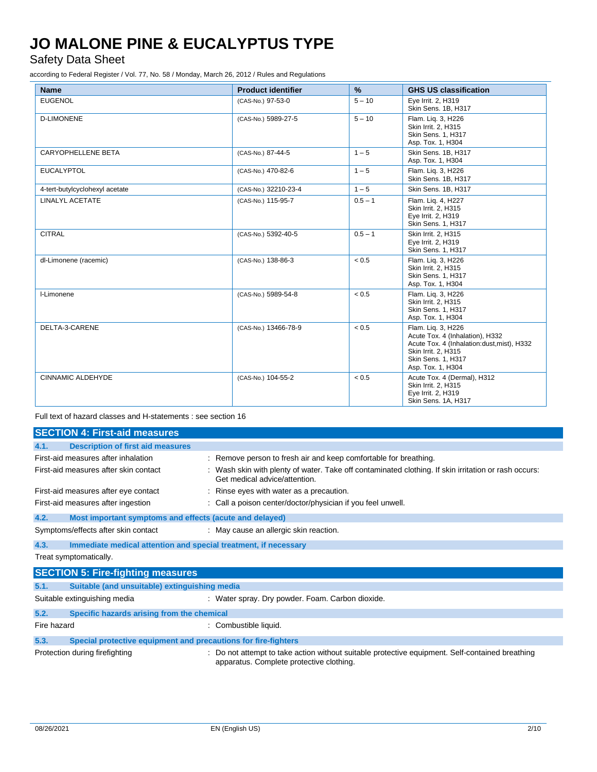Safety Data Sheet

according to Federal Register / Vol. 77, No. 58 / Monday, March 26, 2012 / Rules and Regulations

| <b>Name</b>                    | <b>Product identifier</b> | $\%$      | <b>GHS US classification</b>                                                                                                                                          |
|--------------------------------|---------------------------|-----------|-----------------------------------------------------------------------------------------------------------------------------------------------------------------------|
| <b>EUGENOL</b>                 | (CAS-No.) 97-53-0         | $5 - 10$  | Eye Irrit. 2, H319<br>Skin Sens. 1B, H317                                                                                                                             |
| <b>D-LIMONENE</b>              | (CAS-No.) 5989-27-5       | $5 - 10$  | Flam. Lig. 3, H226<br>Skin Irrit. 2, H315<br><b>Skin Sens. 1. H317</b><br>Asp. Tox. 1, H304                                                                           |
| CARYOPHELLENE BETA             | (CAS-No.) 87-44-5         | $1 - 5$   | Skin Sens. 1B. H317<br>Asp. Tox. 1, H304                                                                                                                              |
| <b>EUCALYPTOL</b>              | (CAS-No.) 470-82-6        | $1 - 5$   | Flam. Lig. 3, H226<br>Skin Sens. 1B, H317                                                                                                                             |
| 4-tert-butylcyclohexyl acetate | (CAS-No.) 32210-23-4      | $1 - 5$   | Skin Sens. 1B. H317                                                                                                                                                   |
| LINALYL ACETATE                | (CAS-No.) 115-95-7        | $0.5 - 1$ | Flam. Lig. 4, H227<br>Skin Irrit. 2, H315<br>Eye Irrit. 2, H319<br>Skin Sens. 1, H317                                                                                 |
| <b>CITRAL</b>                  | (CAS-No.) 5392-40-5       | $0.5 - 1$ | Skin Irrit. 2. H315<br>Eye Irrit. 2, H319<br>Skin Sens. 1, H317                                                                                                       |
| dl-Limonene (racemic)          | (CAS-No.) 138-86-3        | < 0.5     | Flam. Lig. 3, H226<br>Skin Irrit. 2, H315<br>Skin Sens. 1, H317<br>Asp. Tox. 1, H304                                                                                  |
| I-Limonene                     | (CAS-No.) 5989-54-8       | < 0.5     | Flam. Liq. 3, H226<br>Skin Irrit. 2, H315<br><b>Skin Sens. 1. H317</b><br>Asp. Tox. 1, H304                                                                           |
| DELTA-3-CARENE                 | (CAS-No.) 13466-78-9      | < 0.5     | Flam. Lig. 3, H226<br>Acute Tox. 4 (Inhalation), H332<br>Acute Tox. 4 (Inhalation:dust, mist), H332<br>Skin Irrit. 2. H315<br>Skin Sens. 1, H317<br>Asp. Tox. 1, H304 |
| CINNAMIC ALDEHYDE              | (CAS-No.) 104-55-2        | < 0.5     | Acute Tox. 4 (Dermal), H312<br>Skin Irrit. 2, H315<br>Eye Irrit. 2, H319<br>Skin Sens. 1A, H317                                                                       |

Full text of hazard classes and H-statements : see section 16

| <b>SECTION 4: First-aid measures</b>                                   |                                                                 |                                                                                                                                             |  |
|------------------------------------------------------------------------|-----------------------------------------------------------------|---------------------------------------------------------------------------------------------------------------------------------------------|--|
| 4.1.                                                                   | <b>Description of first aid measures</b>                        |                                                                                                                                             |  |
|                                                                        | First-aid measures after inhalation                             | : Remove person to fresh air and keep comfortable for breathing.                                                                            |  |
|                                                                        | First-aid measures after skin contact                           | : Wash skin with plenty of water. Take off contaminated clothing. If skin irritation or rash occurs:<br>Get medical advice/attention.       |  |
|                                                                        | First-aid measures after eye contact                            | : Rinse eyes with water as a precaution.                                                                                                    |  |
|                                                                        | First-aid measures after ingestion                              | : Call a poison center/doctor/physician if you feel unwell.                                                                                 |  |
| 4.2.                                                                   | Most important symptoms and effects (acute and delayed)         |                                                                                                                                             |  |
|                                                                        | Symptoms/effects after skin contact                             | : May cause an allergic skin reaction.                                                                                                      |  |
| 4.3.                                                                   | Immediate medical attention and special treatment, if necessary |                                                                                                                                             |  |
|                                                                        | Treat symptomatically.                                          |                                                                                                                                             |  |
| <b>SECTION 5: Fire-fighting measures</b>                               |                                                                 |                                                                                                                                             |  |
| 5.1.                                                                   | Suitable (and unsuitable) extinguishing media                   |                                                                                                                                             |  |
|                                                                        | Suitable extinguishing media                                    | : Water spray. Dry powder. Foam. Carbon dioxide.                                                                                            |  |
| 5.2.                                                                   | Specific hazards arising from the chemical                      |                                                                                                                                             |  |
| Fire hazard                                                            |                                                                 | : Combustible liquid.                                                                                                                       |  |
| 5.3.<br>Special protective equipment and precautions for fire-fighters |                                                                 |                                                                                                                                             |  |
| Protection during firefighting                                         |                                                                 | : Do not attempt to take action without suitable protective equipment. Self-contained breathing<br>apparatus. Complete protective clothing. |  |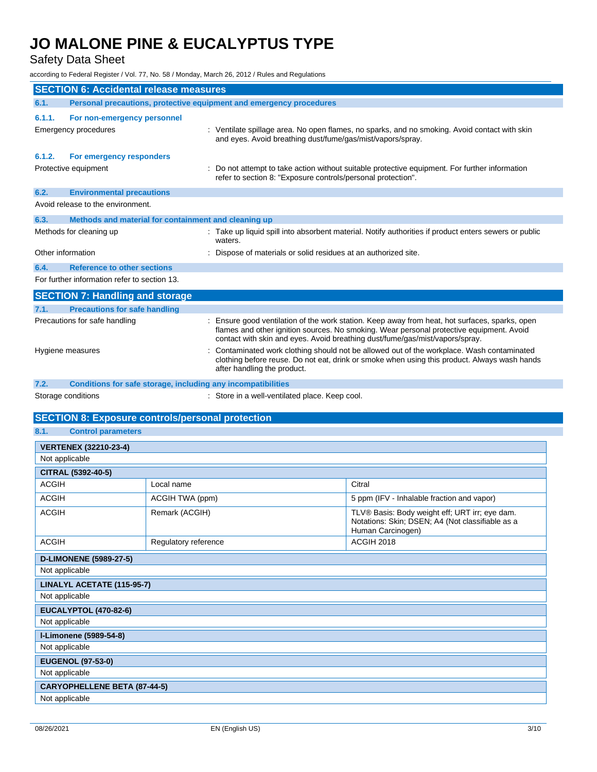### Safety Data Sheet

according to Federal Register / Vol. 77, No. 58 / Monday, March 26, 2012 / Rules and Regulations

| <b>SECTION 6: Accidental release measures</b> |                                                                     |                                                                                                                                                                                                                                                                            |  |
|-----------------------------------------------|---------------------------------------------------------------------|----------------------------------------------------------------------------------------------------------------------------------------------------------------------------------------------------------------------------------------------------------------------------|--|
| 6.1.                                          | Personal precautions, protective equipment and emergency procedures |                                                                                                                                                                                                                                                                            |  |
| 6.1.1.                                        | For non-emergency personnel                                         |                                                                                                                                                                                                                                                                            |  |
|                                               | <b>Emergency procedures</b>                                         | : Ventilate spillage area. No open flames, no sparks, and no smoking. Avoid contact with skin<br>and eyes. Avoid breathing dust/fume/gas/mist/vapors/spray.                                                                                                                |  |
| 6.1.2.                                        | For emergency responders                                            |                                                                                                                                                                                                                                                                            |  |
|                                               | Protective equipment                                                | : Do not attempt to take action without suitable protective equipment. For further information<br>refer to section 8: "Exposure controls/personal protection".                                                                                                             |  |
| 6.2.                                          | <b>Environmental precautions</b>                                    |                                                                                                                                                                                                                                                                            |  |
|                                               | Avoid release to the environment.                                   |                                                                                                                                                                                                                                                                            |  |
| 6.3.                                          | Methods and material for containment and cleaning up                |                                                                                                                                                                                                                                                                            |  |
|                                               | Methods for cleaning up                                             | : Take up liquid spill into absorbent material. Notify authorities if product enters sewers or public<br>waters.                                                                                                                                                           |  |
| Other information                             |                                                                     | : Dispose of materials or solid residues at an authorized site.                                                                                                                                                                                                            |  |
| 6.4.                                          | <b>Reference to other sections</b>                                  |                                                                                                                                                                                                                                                                            |  |
| For further information refer to section 13.  |                                                                     |                                                                                                                                                                                                                                                                            |  |
|                                               | <b>SECTION 7: Handling and storage</b>                              |                                                                                                                                                                                                                                                                            |  |
| 7.1.                                          | <b>Precautions for safe handling</b>                                |                                                                                                                                                                                                                                                                            |  |
|                                               | Precautions for safe handling                                       | : Ensure good ventilation of the work station. Keep away from heat, hot surfaces, sparks, open<br>flames and other ignition sources. No smoking. Wear personal protective equipment. Avoid<br>contact with skin and eyes. Avoid breathing dust/fume/gas/mist/vapors/spray. |  |
| Hygiene measures                              |                                                                     | : Contaminated work clothing should not be allowed out of the workplace. Wash contaminated<br>clothing before reuse. Do not eat, drink or smoke when using this product. Always wash hands<br>after handling the product.                                                  |  |
| 7.2.                                          | <b>Conditions for safe storage, including any incompatibilities</b> |                                                                                                                                                                                                                                                                            |  |

Storage conditions **Storage conditions** : Store in a well-ventilated place. Keep cool.

### **SECTION 8: Exposure controls/personal protection**

| 8.1. | <b>Control parameters</b> |  |
|------|---------------------------|--|
|      |                           |  |

| <b>VERTENEX (32210-23-4)</b>        |                      |                                                                                                                         |
|-------------------------------------|----------------------|-------------------------------------------------------------------------------------------------------------------------|
| Not applicable                      |                      |                                                                                                                         |
| CITRAL (5392-40-5)                  |                      |                                                                                                                         |
| <b>ACGIH</b>                        | Local name           | Citral                                                                                                                  |
| <b>ACGIH</b>                        | ACGIH TWA (ppm)      | 5 ppm (IFV - Inhalable fraction and vapor)                                                                              |
| <b>ACGIH</b>                        | Remark (ACGIH)       | TLV® Basis: Body weight eff; URT irr; eye dam.<br>Notations: Skin; DSEN; A4 (Not classifiable as a<br>Human Carcinogen) |
| <b>ACGIH</b>                        | Regulatory reference | <b>ACGIH 2018</b>                                                                                                       |
| <b>D-LIMONENE (5989-27-5)</b>       |                      |                                                                                                                         |
| Not applicable                      |                      |                                                                                                                         |
| LINALYL ACETATE (115-95-7)          |                      |                                                                                                                         |
| Not applicable                      |                      |                                                                                                                         |
| <b>EUCALYPTOL (470-82-6)</b>        |                      |                                                                                                                         |
| Not applicable                      |                      |                                                                                                                         |
| I-Limonene (5989-54-8)              |                      |                                                                                                                         |
| Not applicable                      |                      |                                                                                                                         |
| <b>EUGENOL (97-53-0)</b>            |                      |                                                                                                                         |
| Not applicable                      |                      |                                                                                                                         |
| <b>CARYOPHELLENE BETA (87-44-5)</b> |                      |                                                                                                                         |
| Not applicable                      |                      |                                                                                                                         |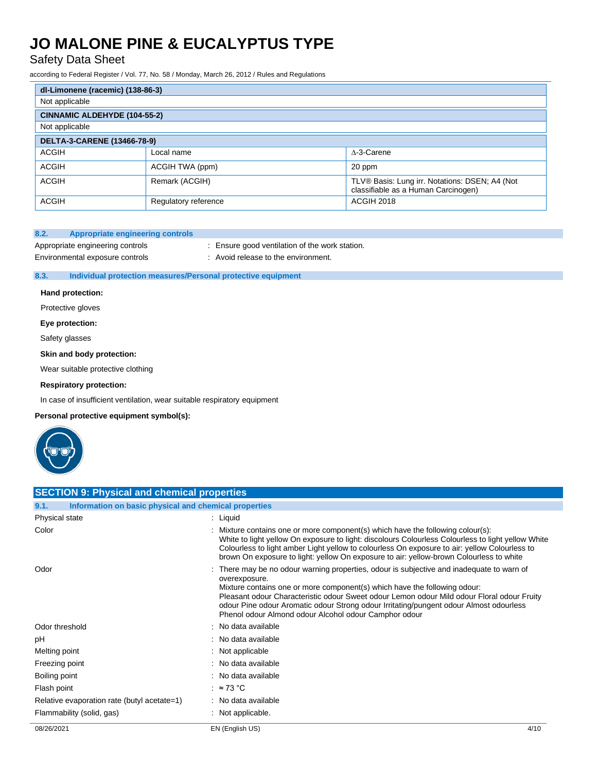Safety Data Sheet

according to Federal Register / Vol. 77, No. 58 / Monday, March 26, 2012 / Rules and Regulations

| dl-Limonene (racemic) (138-86-3) |                      |                                                                                       |
|----------------------------------|----------------------|---------------------------------------------------------------------------------------|
| Not applicable                   |                      |                                                                                       |
| CINNAMIC ALDEHYDE (104-55-2)     |                      |                                                                                       |
| Not applicable                   |                      |                                                                                       |
| DELTA-3-CARENE (13466-78-9)      |                      |                                                                                       |
| ACGIH                            | Local name           | A-3-Carene                                                                            |
| <b>ACGIH</b>                     | ACGIH TWA (ppm)      | 20 ppm                                                                                |
| <b>ACGIH</b>                     | Remark (ACGIH)       | TLV® Basis: Lung irr. Notations: DSEN; A4 (Not<br>classifiable as a Human Carcinogen) |
| ACGIH                            | Regulatory reference | ACGIH 2018                                                                            |

#### **8.2. Appropriate engineering controls**

Appropriate engineering controls : Ensure good ventilation of the work station.

Environmental exposure controls : Avoid release to the environment.

**8.3. Individual protection measures/Personal protective equipment**

#### **Hand protection:**

Protective gloves

**Eye protection:**

Safety glasses

**Skin and body protection:**

Wear suitable protective clothing

**Respiratory protection:**

**SECTION 0: Physical and chemical properties** 

In case of insufficient ventilation, wear suitable respiratory equipment

**Personal protective equipment symbol(s):**



| SECTION 9. FIIVSICAL AND CHEMICAL DIODENTIES                  |                                                                                                                                                                                                                                                                                                                                                                                                                                          |  |
|---------------------------------------------------------------|------------------------------------------------------------------------------------------------------------------------------------------------------------------------------------------------------------------------------------------------------------------------------------------------------------------------------------------------------------------------------------------------------------------------------------------|--|
| Information on basic physical and chemical properties<br>9.1. |                                                                                                                                                                                                                                                                                                                                                                                                                                          |  |
| Physical state                                                | $:$ Liquid                                                                                                                                                                                                                                                                                                                                                                                                                               |  |
| Color                                                         | : Mixture contains one or more component(s) which have the following colour(s):<br>White to light yellow On exposure to light: discolours Colourless Colourless to light yellow White<br>Colourless to light amber Light yellow to colourless On exposure to air: yellow Colourless to<br>brown On exposure to light: yellow On exposure to air: yellow-brown Colourless to white                                                        |  |
| Odor                                                          | : There may be no odour warning properties, odour is subjective and inadequate to warn of<br>overexposure.<br>Mixture contains one or more component(s) which have the following odour:<br>Pleasant odour Characteristic odour Sweet odour Lemon odour Mild odour Floral odour Fruity<br>odour Pine odour Aromatic odour Strong odour Irritating/pungent odour Almost odourless<br>Phenol odour Almond odour Alcohol odour Camphor odour |  |
| Odor threshold                                                | : No data available                                                                                                                                                                                                                                                                                                                                                                                                                      |  |
| рH                                                            | : No data available                                                                                                                                                                                                                                                                                                                                                                                                                      |  |
| Melting point                                                 | : Not applicable                                                                                                                                                                                                                                                                                                                                                                                                                         |  |
| Freezing point                                                | : No data available                                                                                                                                                                                                                                                                                                                                                                                                                      |  |
| Boiling point                                                 | : No data available                                                                                                                                                                                                                                                                                                                                                                                                                      |  |
| Flash point                                                   | : $\approx$ 73 °C                                                                                                                                                                                                                                                                                                                                                                                                                        |  |
| Relative evaporation rate (butyl acetate=1)                   | : No data available                                                                                                                                                                                                                                                                                                                                                                                                                      |  |
| Flammability (solid, gas)                                     | : Not applicable.                                                                                                                                                                                                                                                                                                                                                                                                                        |  |
| 08/26/2021                                                    | 4/10<br>EN (English US)                                                                                                                                                                                                                                                                                                                                                                                                                  |  |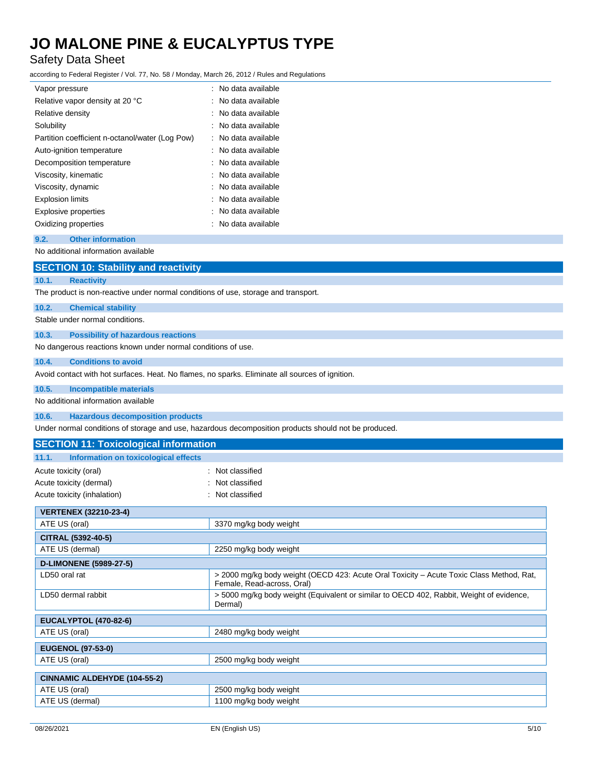### Safety Data Sheet

according to Federal Register / Vol. 77, No. 58 / Monday, March 26, 2012 / Rules and Regulations

| Vapor pressure                                  | : No data available             |
|-------------------------------------------------|---------------------------------|
| Relative vapor density at 20 °C                 | : No data available             |
| Relative density                                | $\therefore$ No data available. |
| Solubility                                      | No data available               |
| Partition coefficient n-octanol/water (Log Pow) | : No data available             |
| Auto-ignition temperature                       | : No data available             |
| Decomposition temperature                       | : No data available             |
| Viscosity, kinematic                            | : No data available             |
| Viscosity, dynamic                              | : No data available             |
| <b>Explosion limits</b>                         | : No data available             |
| <b>Explosive properties</b>                     | : No data available             |
| Oxidizing properties                            | No data available               |

#### **9.2. Other information**

No additional information available

|                                                                                                      | <b>SECTION 10: Stability and reactivity</b>                                        |  |
|------------------------------------------------------------------------------------------------------|------------------------------------------------------------------------------------|--|
| 10.1.                                                                                                | <b>Reactivity</b>                                                                  |  |
|                                                                                                      | The product is non-reactive under normal conditions of use, storage and transport. |  |
| 10.2.                                                                                                | <b>Chemical stability</b>                                                          |  |
|                                                                                                      | Stable under normal conditions.                                                    |  |
| 10.3.                                                                                                | <b>Possibility of hazardous reactions</b>                                          |  |
|                                                                                                      | No dangerous reactions known under normal conditions of use.                       |  |
| 10.4.                                                                                                | <b>Conditions to avoid</b>                                                         |  |
| Avoid contact with hot surfaces. Heat. No flames, no sparks. Eliminate all sources of ignition.      |                                                                                    |  |
| 10.5.                                                                                                | <b>Incompatible materials</b>                                                      |  |
| No additional information available                                                                  |                                                                                    |  |
| 10.6.                                                                                                | <b>Hazardous decomposition products</b>                                            |  |
| Under normal conditions of storage and use, hazardous decomposition products should not be produced. |                                                                                    |  |
|                                                                                                      | <b>SECTION 11: Toxicological information</b>                                       |  |

| 11.1.<br>Information on toxicological effects |                                                                                                                        |  |
|-----------------------------------------------|------------------------------------------------------------------------------------------------------------------------|--|
| Acute toxicity (oral)                         | : Not classified                                                                                                       |  |
| Acute toxicity (dermal)                       | Not classified                                                                                                         |  |
|                                               |                                                                                                                        |  |
| Acute toxicity (inhalation)                   | Not classified<br>÷                                                                                                    |  |
| <b>VERTENEX (32210-23-4)</b>                  |                                                                                                                        |  |
| ATE US (oral)                                 | 3370 mg/kg body weight                                                                                                 |  |
| CITRAL (5392-40-5)                            |                                                                                                                        |  |
| ATE US (dermal)                               | 2250 mg/kg body weight                                                                                                 |  |
| <b>D-LIMONENE (5989-27-5)</b>                 |                                                                                                                        |  |
| LD50 oral rat                                 | > 2000 mg/kg body weight (OECD 423: Acute Oral Toxicity – Acute Toxic Class Method, Rat,<br>Female, Read-across, Oral) |  |
| LD50 dermal rabbit                            | > 5000 mg/kg body weight (Equivalent or similar to OECD 402, Rabbit, Weight of evidence,<br>Dermal)                    |  |
| <b>EUCALYPTOL (470-82-6)</b>                  |                                                                                                                        |  |
| ATE US (oral)                                 | 2480 mg/kg body weight                                                                                                 |  |
| <b>EUGENOL (97-53-0)</b>                      |                                                                                                                        |  |
| ATE US (oral)                                 | 2500 mg/kg body weight                                                                                                 |  |
|                                               |                                                                                                                        |  |
| <b>CINNAMIC ALDEHYDE (104-55-2)</b>           |                                                                                                                        |  |
| ATE US (oral)                                 | 2500 mg/kg body weight                                                                                                 |  |
| ATE US (dermal)                               | 1100 mg/kg body weight                                                                                                 |  |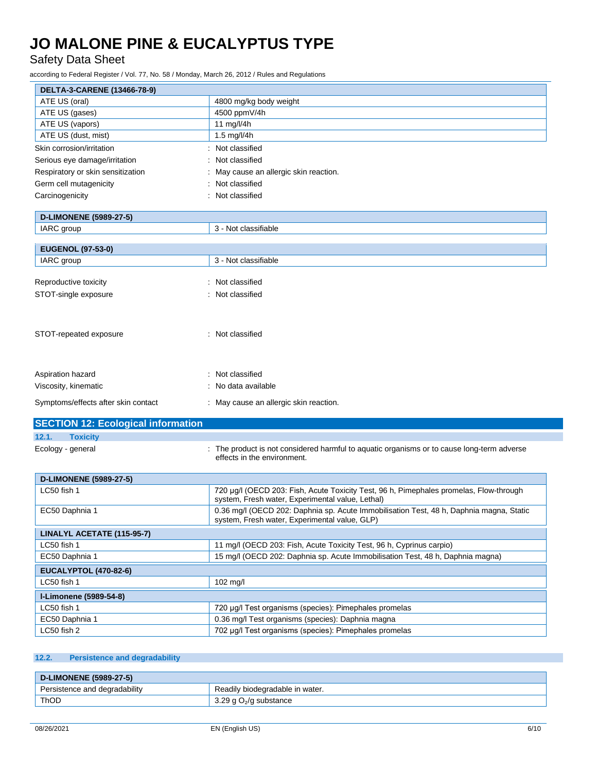Safety Data Sheet

according to Federal Register / Vol. 77, No. 58 / Monday, March 26, 2012 / Rules and Regulations

| ATE US (oral)<br>4800 mg/kg body weight<br>ATE US (gases)<br>4500 ppmV/4h<br>ATE US (vapors)<br>11 mg/l/4h<br>ATE US (dust, mist)<br>1.5 mg/l/4h<br>: Not classified<br>Not classified<br>May cause an allergic skin reaction.<br>Not classified<br>Not classified<br><b>D-LIMONENE (5989-27-5)</b><br>IARC group<br>3 - Not classifiable<br><b>EUGENOL (97-53-0)</b><br>3 - Not classifiable<br>IARC group<br>Not classified<br>Reproductive toxicity<br>Not classified<br>STOT-single exposure<br>STOT-repeated exposure<br>: Not classified<br>: Not classified<br>Aspiration hazard<br>Viscosity, kinematic<br>: No data available<br>: May cause an allergic skin reaction.<br><b>Toxicity</b><br>: The product is not considered harmful to aquatic organisms or to cause long-term adverse<br>Ecology - general<br>effects in the environment.<br><b>D-LIMONENE (5989-27-5)</b><br>LC50 fish 1<br>720 µg/l (OECD 203: Fish, Acute Toxicity Test, 96 h, Pimephales promelas, Flow-through<br>system, Fresh water, Experimental value, Lethal)<br>0.36 mg/l (OECD 202: Daphnia sp. Acute Immobilisation Test, 48 h, Daphnia magna, Static<br>EC50 Daphnia 1<br>system, Fresh water, Experimental value, GLP)<br>LINALYL ACETATE (115-95-7)<br>11 mg/l (OECD 203: Fish, Acute Toxicity Test, 96 h, Cyprinus carpio)<br>LC50 fish 1<br>15 mg/l (OECD 202: Daphnia sp. Acute Immobilisation Test, 48 h, Daphnia magna)<br>EC50 Daphnia 1<br><b>EUCALYPTOL (470-82-6)</b><br>LC50 fish 1<br>102 mg/l<br>I-Limonene (5989-54-8)<br>LC50 fish 1<br>720 µg/l Test organisms (species): Pimephales promelas | DELTA-3-CARENE (13466-78-9)               |  |
|----------------------------------------------------------------------------------------------------------------------------------------------------------------------------------------------------------------------------------------------------------------------------------------------------------------------------------------------------------------------------------------------------------------------------------------------------------------------------------------------------------------------------------------------------------------------------------------------------------------------------------------------------------------------------------------------------------------------------------------------------------------------------------------------------------------------------------------------------------------------------------------------------------------------------------------------------------------------------------------------------------------------------------------------------------------------------------------------------------------------------------------------------------------------------------------------------------------------------------------------------------------------------------------------------------------------------------------------------------------------------------------------------------------------------------------------------------------------------------------------------------------------------------------------------------------------------------------------------------|-------------------------------------------|--|
|                                                                                                                                                                                                                                                                                                                                                                                                                                                                                                                                                                                                                                                                                                                                                                                                                                                                                                                                                                                                                                                                                                                                                                                                                                                                                                                                                                                                                                                                                                                                                                                                          |                                           |  |
|                                                                                                                                                                                                                                                                                                                                                                                                                                                                                                                                                                                                                                                                                                                                                                                                                                                                                                                                                                                                                                                                                                                                                                                                                                                                                                                                                                                                                                                                                                                                                                                                          |                                           |  |
|                                                                                                                                                                                                                                                                                                                                                                                                                                                                                                                                                                                                                                                                                                                                                                                                                                                                                                                                                                                                                                                                                                                                                                                                                                                                                                                                                                                                                                                                                                                                                                                                          |                                           |  |
|                                                                                                                                                                                                                                                                                                                                                                                                                                                                                                                                                                                                                                                                                                                                                                                                                                                                                                                                                                                                                                                                                                                                                                                                                                                                                                                                                                                                                                                                                                                                                                                                          |                                           |  |
|                                                                                                                                                                                                                                                                                                                                                                                                                                                                                                                                                                                                                                                                                                                                                                                                                                                                                                                                                                                                                                                                                                                                                                                                                                                                                                                                                                                                                                                                                                                                                                                                          | Skin corrosion/irritation                 |  |
|                                                                                                                                                                                                                                                                                                                                                                                                                                                                                                                                                                                                                                                                                                                                                                                                                                                                                                                                                                                                                                                                                                                                                                                                                                                                                                                                                                                                                                                                                                                                                                                                          | Serious eye damage/irritation             |  |
|                                                                                                                                                                                                                                                                                                                                                                                                                                                                                                                                                                                                                                                                                                                                                                                                                                                                                                                                                                                                                                                                                                                                                                                                                                                                                                                                                                                                                                                                                                                                                                                                          | Respiratory or skin sensitization         |  |
|                                                                                                                                                                                                                                                                                                                                                                                                                                                                                                                                                                                                                                                                                                                                                                                                                                                                                                                                                                                                                                                                                                                                                                                                                                                                                                                                                                                                                                                                                                                                                                                                          | Germ cell mutagenicity                    |  |
|                                                                                                                                                                                                                                                                                                                                                                                                                                                                                                                                                                                                                                                                                                                                                                                                                                                                                                                                                                                                                                                                                                                                                                                                                                                                                                                                                                                                                                                                                                                                                                                                          | Carcinogenicity                           |  |
|                                                                                                                                                                                                                                                                                                                                                                                                                                                                                                                                                                                                                                                                                                                                                                                                                                                                                                                                                                                                                                                                                                                                                                                                                                                                                                                                                                                                                                                                                                                                                                                                          |                                           |  |
|                                                                                                                                                                                                                                                                                                                                                                                                                                                                                                                                                                                                                                                                                                                                                                                                                                                                                                                                                                                                                                                                                                                                                                                                                                                                                                                                                                                                                                                                                                                                                                                                          |                                           |  |
|                                                                                                                                                                                                                                                                                                                                                                                                                                                                                                                                                                                                                                                                                                                                                                                                                                                                                                                                                                                                                                                                                                                                                                                                                                                                                                                                                                                                                                                                                                                                                                                                          |                                           |  |
|                                                                                                                                                                                                                                                                                                                                                                                                                                                                                                                                                                                                                                                                                                                                                                                                                                                                                                                                                                                                                                                                                                                                                                                                                                                                                                                                                                                                                                                                                                                                                                                                          |                                           |  |
|                                                                                                                                                                                                                                                                                                                                                                                                                                                                                                                                                                                                                                                                                                                                                                                                                                                                                                                                                                                                                                                                                                                                                                                                                                                                                                                                                                                                                                                                                                                                                                                                          |                                           |  |
|                                                                                                                                                                                                                                                                                                                                                                                                                                                                                                                                                                                                                                                                                                                                                                                                                                                                                                                                                                                                                                                                                                                                                                                                                                                                                                                                                                                                                                                                                                                                                                                                          |                                           |  |
|                                                                                                                                                                                                                                                                                                                                                                                                                                                                                                                                                                                                                                                                                                                                                                                                                                                                                                                                                                                                                                                                                                                                                                                                                                                                                                                                                                                                                                                                                                                                                                                                          |                                           |  |
|                                                                                                                                                                                                                                                                                                                                                                                                                                                                                                                                                                                                                                                                                                                                                                                                                                                                                                                                                                                                                                                                                                                                                                                                                                                                                                                                                                                                                                                                                                                                                                                                          |                                           |  |
|                                                                                                                                                                                                                                                                                                                                                                                                                                                                                                                                                                                                                                                                                                                                                                                                                                                                                                                                                                                                                                                                                                                                                                                                                                                                                                                                                                                                                                                                                                                                                                                                          |                                           |  |
|                                                                                                                                                                                                                                                                                                                                                                                                                                                                                                                                                                                                                                                                                                                                                                                                                                                                                                                                                                                                                                                                                                                                                                                                                                                                                                                                                                                                                                                                                                                                                                                                          |                                           |  |
|                                                                                                                                                                                                                                                                                                                                                                                                                                                                                                                                                                                                                                                                                                                                                                                                                                                                                                                                                                                                                                                                                                                                                                                                                                                                                                                                                                                                                                                                                                                                                                                                          |                                           |  |
|                                                                                                                                                                                                                                                                                                                                                                                                                                                                                                                                                                                                                                                                                                                                                                                                                                                                                                                                                                                                                                                                                                                                                                                                                                                                                                                                                                                                                                                                                                                                                                                                          |                                           |  |
|                                                                                                                                                                                                                                                                                                                                                                                                                                                                                                                                                                                                                                                                                                                                                                                                                                                                                                                                                                                                                                                                                                                                                                                                                                                                                                                                                                                                                                                                                                                                                                                                          |                                           |  |
|                                                                                                                                                                                                                                                                                                                                                                                                                                                                                                                                                                                                                                                                                                                                                                                                                                                                                                                                                                                                                                                                                                                                                                                                                                                                                                                                                                                                                                                                                                                                                                                                          | Symptoms/effects after skin contact       |  |
|                                                                                                                                                                                                                                                                                                                                                                                                                                                                                                                                                                                                                                                                                                                                                                                                                                                                                                                                                                                                                                                                                                                                                                                                                                                                                                                                                                                                                                                                                                                                                                                                          | <b>SECTION 12: Ecological information</b> |  |
|                                                                                                                                                                                                                                                                                                                                                                                                                                                                                                                                                                                                                                                                                                                                                                                                                                                                                                                                                                                                                                                                                                                                                                                                                                                                                                                                                                                                                                                                                                                                                                                                          | 12.1.                                     |  |
|                                                                                                                                                                                                                                                                                                                                                                                                                                                                                                                                                                                                                                                                                                                                                                                                                                                                                                                                                                                                                                                                                                                                                                                                                                                                                                                                                                                                                                                                                                                                                                                                          |                                           |  |
|                                                                                                                                                                                                                                                                                                                                                                                                                                                                                                                                                                                                                                                                                                                                                                                                                                                                                                                                                                                                                                                                                                                                                                                                                                                                                                                                                                                                                                                                                                                                                                                                          |                                           |  |
|                                                                                                                                                                                                                                                                                                                                                                                                                                                                                                                                                                                                                                                                                                                                                                                                                                                                                                                                                                                                                                                                                                                                                                                                                                                                                                                                                                                                                                                                                                                                                                                                          |                                           |  |
|                                                                                                                                                                                                                                                                                                                                                                                                                                                                                                                                                                                                                                                                                                                                                                                                                                                                                                                                                                                                                                                                                                                                                                                                                                                                                                                                                                                                                                                                                                                                                                                                          |                                           |  |
|                                                                                                                                                                                                                                                                                                                                                                                                                                                                                                                                                                                                                                                                                                                                                                                                                                                                                                                                                                                                                                                                                                                                                                                                                                                                                                                                                                                                                                                                                                                                                                                                          |                                           |  |
|                                                                                                                                                                                                                                                                                                                                                                                                                                                                                                                                                                                                                                                                                                                                                                                                                                                                                                                                                                                                                                                                                                                                                                                                                                                                                                                                                                                                                                                                                                                                                                                                          |                                           |  |
|                                                                                                                                                                                                                                                                                                                                                                                                                                                                                                                                                                                                                                                                                                                                                                                                                                                                                                                                                                                                                                                                                                                                                                                                                                                                                                                                                                                                                                                                                                                                                                                                          |                                           |  |
|                                                                                                                                                                                                                                                                                                                                                                                                                                                                                                                                                                                                                                                                                                                                                                                                                                                                                                                                                                                                                                                                                                                                                                                                                                                                                                                                                                                                                                                                                                                                                                                                          |                                           |  |
|                                                                                                                                                                                                                                                                                                                                                                                                                                                                                                                                                                                                                                                                                                                                                                                                                                                                                                                                                                                                                                                                                                                                                                                                                                                                                                                                                                                                                                                                                                                                                                                                          |                                           |  |
|                                                                                                                                                                                                                                                                                                                                                                                                                                                                                                                                                                                                                                                                                                                                                                                                                                                                                                                                                                                                                                                                                                                                                                                                                                                                                                                                                                                                                                                                                                                                                                                                          |                                           |  |
|                                                                                                                                                                                                                                                                                                                                                                                                                                                                                                                                                                                                                                                                                                                                                                                                                                                                                                                                                                                                                                                                                                                                                                                                                                                                                                                                                                                                                                                                                                                                                                                                          |                                           |  |
| EC50 Daphnia 1<br>0.36 mg/l Test organisms (species): Daphnia magna                                                                                                                                                                                                                                                                                                                                                                                                                                                                                                                                                                                                                                                                                                                                                                                                                                                                                                                                                                                                                                                                                                                                                                                                                                                                                                                                                                                                                                                                                                                                      |                                           |  |
| LC50 fish 2<br>702 µg/l Test organisms (species): Pimephales promelas                                                                                                                                                                                                                                                                                                                                                                                                                                                                                                                                                                                                                                                                                                                                                                                                                                                                                                                                                                                                                                                                                                                                                                                                                                                                                                                                                                                                                                                                                                                                    |                                           |  |

### **12.2. Persistence and degradability**

| D-LIMONENE (5989-27-5)        |                                 |
|-------------------------------|---------------------------------|
| Persistence and degradability | Readily biodegradable in water. |
| ThOD                          | 3.29 g $O_2$ /g substance       |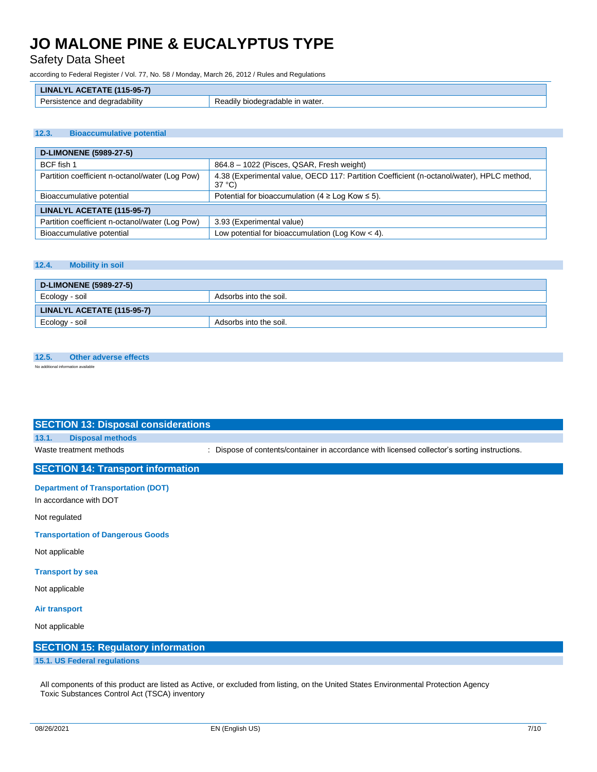Safety Data Sheet

according to Federal Register / Vol. 77, No. 58 / Monday, March 26, 2012 / Rules and Regulations

| $(115 - 95 - 7)$<br>- - - - -<br><b>LINAI</b><br>$\mathbf{A}$  |                                         |
|----------------------------------------------------------------|-----------------------------------------|
| <br>-<br>degradability<br>and<br>Persister<br>nce<br>- 641 154 | ≅ın water<br>' biodearadable<br>Readily |

#### **12.3. Bioaccumulative potential**

| <b>D-LIMONENE (5989-27-5)</b>                   |                                                                                                              |  |
|-------------------------------------------------|--------------------------------------------------------------------------------------------------------------|--|
| BCF fish 1                                      | 864.8 - 1022 (Pisces, QSAR, Fresh weight)                                                                    |  |
| Partition coefficient n-octanol/water (Log Pow) | 4.38 (Experimental value, OECD 117: Partition Coefficient (n-octanol/water), HPLC method,<br>$37^{\circ}$ C) |  |
| Bioaccumulative potential                       | Potential for bioaccumulation ( $4 \geq$ Log Kow $\leq$ 5).                                                  |  |
| LINALYL ACETATE (115-95-7)                      |                                                                                                              |  |
| Partition coefficient n-octanol/water (Log Pow) | 3.93 (Experimental value)                                                                                    |  |
| Bioaccumulative potential                       | Low potential for bioaccumulation (Log Kow $<$ 4).                                                           |  |

#### **12.4. Mobility in soil**

| D-LIMONENE (5989-27-5)     |                        |
|----------------------------|------------------------|
| Ecology - soil             | Adsorbs into the soil. |
| LINALYL ACETATE (115-95-7) |                        |
| Ecology - soil             | Adsorbs into the soil. |

#### **12.5. Other adverse effects**

No additional information available

| <b>SECTION 13: Disposal considerations</b> |                                                                                               |
|--------------------------------------------|-----------------------------------------------------------------------------------------------|
| <b>Disposal methods</b><br>13.1.           |                                                                                               |
| Waste treatment methods                    | : Dispose of contents/container in accordance with licensed collector's sorting instructions. |
| <b>SECTION 14: Transport information</b>   |                                                                                               |
| <b>Department of Transportation (DOT)</b>  |                                                                                               |
| In accordance with DOT                     |                                                                                               |
| Not regulated                              |                                                                                               |
| <b>Transportation of Dangerous Goods</b>   |                                                                                               |
| Not applicable                             |                                                                                               |
| <b>Transport by sea</b>                    |                                                                                               |
| Not applicable                             |                                                                                               |
| <b>Air transport</b>                       |                                                                                               |
| Not applicable                             |                                                                                               |
| <b>SECTION 15: Regulatory information</b>  |                                                                                               |
|                                            |                                                                                               |

#### **15.1. US Federal regulations**

All components of this product are listed as Active, or excluded from listing, on the United States Environmental Protection Agency Toxic Substances Control Act (TSCA) inventory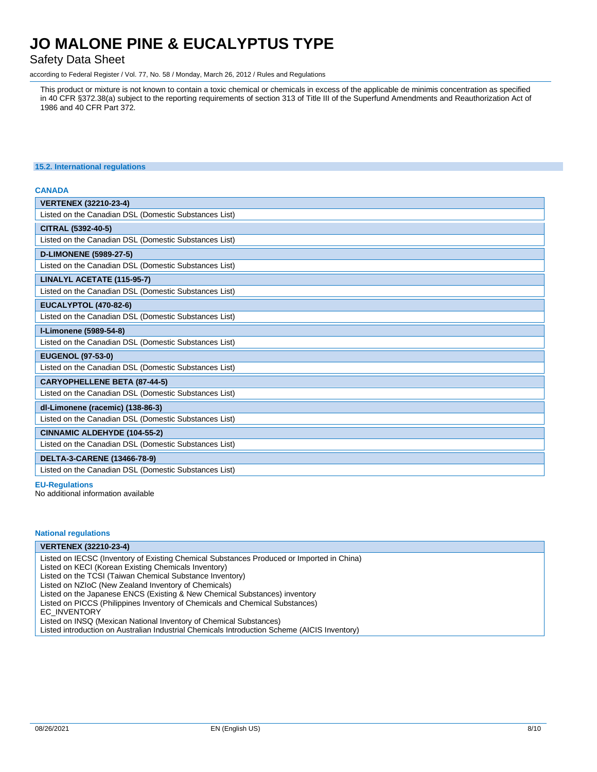### Safety Data Sheet

according to Federal Register / Vol. 77, No. 58 / Monday, March 26, 2012 / Rules and Regulations

This product or mixture is not known to contain a toxic chemical or chemicals in excess of the applicable de minimis concentration as specified in 40 CFR §372.38(a) subject to the reporting requirements of section 313 of Title III of the Superfund Amendments and Reauthorization Act of 1986 and 40 CFR Part 372.

#### **15.2. International regulations**

#### **CANADA**

| <b>VERTENEX (32210-23-4)</b>                          |  |  |
|-------------------------------------------------------|--|--|
| Listed on the Canadian DSL (Domestic Substances List) |  |  |
| CITRAL (5392-40-5)                                    |  |  |
| Listed on the Canadian DSL (Domestic Substances List) |  |  |
| <b>D-LIMONENE (5989-27-5)</b>                         |  |  |
| Listed on the Canadian DSL (Domestic Substances List) |  |  |
| LINALYL ACETATE (115-95-7)                            |  |  |
| Listed on the Canadian DSL (Domestic Substances List) |  |  |
| <b>EUCALYPTOL (470-82-6)</b>                          |  |  |
| Listed on the Canadian DSL (Domestic Substances List) |  |  |
| I-Limonene (5989-54-8)                                |  |  |
| Listed on the Canadian DSL (Domestic Substances List) |  |  |
| <b>EUGENOL (97-53-0)</b>                              |  |  |
| Listed on the Canadian DSL (Domestic Substances List) |  |  |
| <b>CARYOPHELLENE BETA (87-44-5)</b>                   |  |  |
| Listed on the Canadian DSL (Domestic Substances List) |  |  |
| dl-Limonene (racemic) (138-86-3)                      |  |  |
| Listed on the Canadian DSL (Domestic Substances List) |  |  |
| <b>CINNAMIC ALDEHYDE (104-55-2)</b>                   |  |  |
| Listed on the Canadian DSL (Domestic Substances List) |  |  |
| DELTA-3-CARENE (13466-78-9)                           |  |  |
| Listed on the Canadian DSL (Domestic Substances List) |  |  |

#### **EU-Regulations**

No additional information available

#### **National regulations**

**VERTENEX (32210-23-4)** Listed on IECSC (Inventory of Existing Chemical Substances Produced or Imported in China) Listed on KECI (Korean Existing Chemicals Inventory) Listed on the TCSI (Taiwan Chemical Substance Inventory) Listed on NZIoC (New Zealand Inventory of Chemicals) Listed on the Japanese ENCS (Existing & New Chemical Substances) inventory Listed on PICCS (Philippines Inventory of Chemicals and Chemical Substances) EC\_INVENTORY Listed on INSQ (Mexican National Inventory of Chemical Substances) Listed introduction on Australian Industrial Chemicals Introduction Scheme (AICIS Inventory)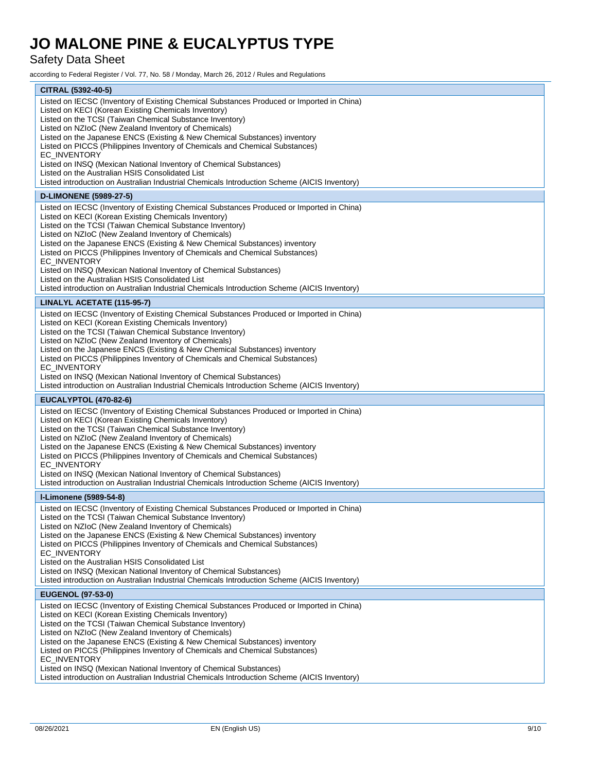### Safety Data Sheet

according to Federal Register / Vol. 77, No. 58 / Monday, March 26, 2012 / Rules and Regulations

| CITRAL (5392-40-5)                                                                                                                                                                                                                                                                                                                                                                                                                                                                                                                                                                                                                                                           |  |  |
|------------------------------------------------------------------------------------------------------------------------------------------------------------------------------------------------------------------------------------------------------------------------------------------------------------------------------------------------------------------------------------------------------------------------------------------------------------------------------------------------------------------------------------------------------------------------------------------------------------------------------------------------------------------------------|--|--|
| Listed on IECSC (Inventory of Existing Chemical Substances Produced or Imported in China)<br>Listed on KECI (Korean Existing Chemicals Inventory)<br>Listed on the TCSI (Taiwan Chemical Substance Inventory)<br>Listed on NZIoC (New Zealand Inventory of Chemicals)<br>Listed on the Japanese ENCS (Existing & New Chemical Substances) inventory<br>Listed on PICCS (Philippines Inventory of Chemicals and Chemical Substances)<br>EC_INVENTORY<br>Listed on INSQ (Mexican National Inventory of Chemical Substances)<br>Listed on the Australian HSIS Consolidated List<br>Listed introduction on Australian Industrial Chemicals Introduction Scheme (AICIS Inventory) |  |  |
| <b>D-LIMONENE (5989-27-5)</b>                                                                                                                                                                                                                                                                                                                                                                                                                                                                                                                                                                                                                                                |  |  |
| Listed on IECSC (Inventory of Existing Chemical Substances Produced or Imported in China)<br>Listed on KECI (Korean Existing Chemicals Inventory)<br>Listed on the TCSI (Taiwan Chemical Substance Inventory)<br>Listed on NZIoC (New Zealand Inventory of Chemicals)<br>Listed on the Japanese ENCS (Existing & New Chemical Substances) inventory<br>Listed on PICCS (Philippines Inventory of Chemicals and Chemical Substances)<br>EC_INVENTORY<br>Listed on INSQ (Mexican National Inventory of Chemical Substances)<br>Listed on the Australian HSIS Consolidated List<br>Listed introduction on Australian Industrial Chemicals Introduction Scheme (AICIS Inventory) |  |  |
| LINALYL ACETATE (115-95-7)                                                                                                                                                                                                                                                                                                                                                                                                                                                                                                                                                                                                                                                   |  |  |
| Listed on IECSC (Inventory of Existing Chemical Substances Produced or Imported in China)<br>Listed on KECI (Korean Existing Chemicals Inventory)<br>Listed on the TCSI (Taiwan Chemical Substance Inventory)<br>Listed on NZIoC (New Zealand Inventory of Chemicals)<br>Listed on the Japanese ENCS (Existing & New Chemical Substances) inventory<br>Listed on PICCS (Philippines Inventory of Chemicals and Chemical Substances)<br>EC_INVENTORY<br>Listed on INSQ (Mexican National Inventory of Chemical Substances)<br>Listed introduction on Australian Industrial Chemicals Introduction Scheme (AICIS Inventory)                                                    |  |  |
| <b>EUCALYPTOL (470-82-6)</b>                                                                                                                                                                                                                                                                                                                                                                                                                                                                                                                                                                                                                                                 |  |  |
| Listed on IECSC (Inventory of Existing Chemical Substances Produced or Imported in China)<br>Listed on KECI (Korean Existing Chemicals Inventory)<br>Listed on the TCSI (Taiwan Chemical Substance Inventory)<br>Listed on NZIoC (New Zealand Inventory of Chemicals)<br>Listed on the Japanese ENCS (Existing & New Chemical Substances) inventory<br>Listed on PICCS (Philippines Inventory of Chemicals and Chemical Substances)<br>EC_INVENTORY<br>Listed on INSQ (Mexican National Inventory of Chemical Substances)<br>Listed introduction on Australian Industrial Chemicals Introduction Scheme (AICIS Inventory)                                                    |  |  |
| I-Limonene (5989-54-8)                                                                                                                                                                                                                                                                                                                                                                                                                                                                                                                                                                                                                                                       |  |  |
| Listed on IECSC (Inventory of Existing Chemical Substances Produced or Imported in China)<br>Listed on the TCSI (Taiwan Chemical Substance Inventory)<br>Listed on NZIoC (New Zealand Inventory of Chemicals)<br>Listed on the Japanese ENCS (Existing & New Chemical Substances) inventory<br>Listed on PICCS (Philippines Inventory of Chemicals and Chemical Substances)<br>EC_INVENTORY<br>Listed on the Australian HSIS Consolidated List<br>Listed on INSQ (Mexican National Inventory of Chemical Substances)<br>Listed introduction on Australian Industrial Chemicals Introduction Scheme (AICIS Inventory)                                                         |  |  |
| <b>EUGENOL (97-53-0)</b>                                                                                                                                                                                                                                                                                                                                                                                                                                                                                                                                                                                                                                                     |  |  |
| Listed on IECSC (Inventory of Existing Chemical Substances Produced or Imported in China)<br>Listed on KECI (Korean Existing Chemicals Inventory)<br>Listed on the TCSI (Taiwan Chemical Substance Inventory)<br>Listed on NZIoC (New Zealand Inventory of Chemicals)<br>Listed on the Japanese ENCS (Existing & New Chemical Substances) inventory<br>Listed on PICCS (Philippines Inventory of Chemicals and Chemical Substances)<br>EC_INVENTORY<br>Listed on INSQ (Mexican National Inventory of Chemical Substances)<br>Listed introduction on Australian Industrial Chemicals Introduction Scheme (AICIS Inventory)                                                    |  |  |